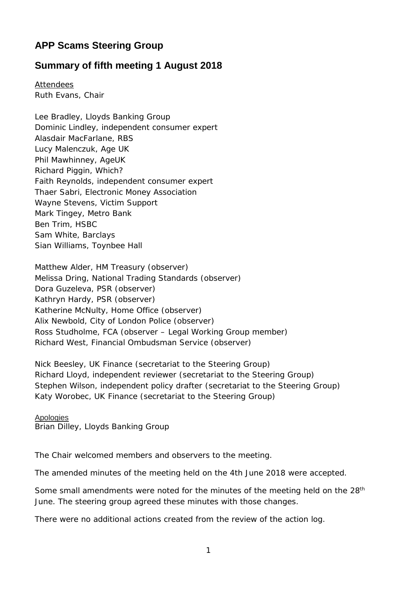## **APP Scams Steering Group**

## **Summary of fifth meeting 1 August 2018**

Attendees Ruth Evans, Chair

Lee Bradley, Lloyds Banking Group Dominic Lindley, independent consumer expert Alasdair MacFarlane, RBS Lucy Malenczuk, Age UK Phil Mawhinney, AgeUK Richard Piggin, Which? Faith Reynolds, independent consumer expert Thaer Sabri, Electronic Money Association Wayne Stevens, Victim Support Mark Tingey, Metro Bank Ben Trim, HSBC Sam White, Barclays Sian Williams, Toynbee Hall

Matthew Alder, HM Treasury (observer) Melissa Dring, National Trading Standards (observer) Dora Guzeleva, PSR (observer) Kathryn Hardy, PSR (observer) Katherine McNulty, Home Office (observer) Alix Newbold, City of London Police (observer) Ross Studholme, FCA (observer – Legal Working Group member) Richard West, Financial Ombudsman Service (observer)

Nick Beesley, UK Finance (secretariat to the Steering Group) Richard Lloyd, independent reviewer (secretariat to the Steering Group) Stephen Wilson, independent policy drafter (secretariat to the Steering Group) Katy Worobec, UK Finance (secretariat to the Steering Group)

Apologies

Brian Dilley, Lloyds Banking Group

The Chair welcomed members and observers to the meeting.

The amended minutes of the meeting held on the 4th June 2018 were accepted.

Some small amendments were noted for the minutes of the meeting held on the 28<sup>th</sup> June. The steering group agreed these minutes with those changes.

There were no additional actions created from the review of the action log.